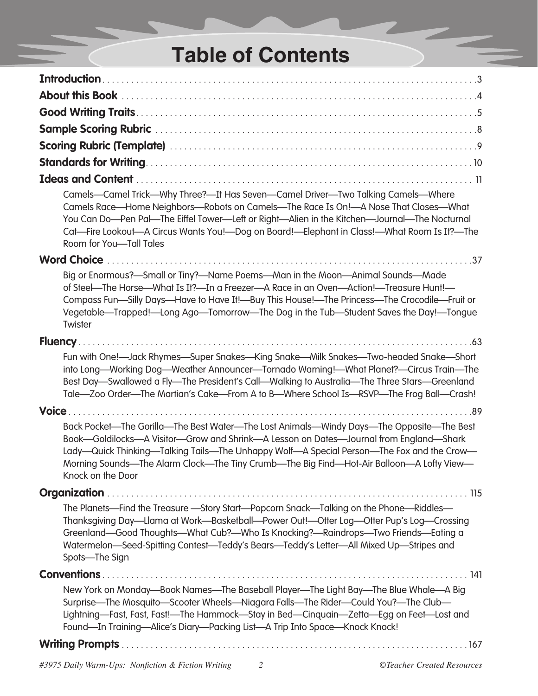## **Table of Contents**

| Camels-Camel Trick-Why Three?-It Has Seven-Camel Driver-Two Talking Camels-Where<br>Camels Race—Home Neighbors—Robots on Camels—The Race Is On!—A Nose That Closes—What<br>You Can Do—Pen Pal—The Eiffel Tower—Left or Right—Alien in the Kitchen—Journal—The Nocturnal<br>Cat—Fire Lookout—A Circus Wants You!—Dog on Board!—Elephant in Class!—What Room Is It?—The<br>Room for You-Tall Tales<br>Big or Enormous?—Small or Tiny?—Name Poems—Man in the Moon—Animal Sounds—Made<br>of Steel—The Horse—What Is It?—In a Freezer—A Race in an Oven—Action!—Treasure Hunt!—<br>Compass Fun-Silly Days-Have to Have It!-Buy This House!-The Princess-The Crocodile-Fruit or<br>Vegetable—Trapped!—Long Ago—Tomorrow—The Dog in the Tub—Student Saves the Day!—Tongue<br>Twister<br>Fun with One!-Jack Rhymes-Super Snakes-King Snake-Milk Snakes-Two-headed Snake-Short<br>into Long-Working Dog-Weather Announcer-Tornado Warning!-What Planet?-Circus Train-The<br>Best Day—Swallowed a Fly—The President's Call—Walking to Australia—The Three Stars—Greenland<br>Tale-Zoo Order-The Martian's Cake-From A to B-Where School Is-RSVP-The Frog Ball-Crash!<br>Back Pocket—The Gorilla—The Best Water—The Lost Animals—Windy Days—The Opposite—The Best<br>Book-Goldilocks-A Visitor-Grow and Shrink-A Lesson on Dates-Journal from England-Shark<br>Lady—Quick Thinking—Talking Tails—The Unhappy Wolf—A Special Person—The Fox and the Crow—<br>Morning Sounds-The Alarm Clock-The Tiny Crumb-The Big Find-Hot-Air Balloon-A Lofty View-<br>Knock on the Door<br>The Planets—Find the Treasure —Story Start—Popcorn Snack—Talking on the Phone—Riddles—<br>Thanksgiving Day—Llama at Work—Basketball—Power Out!—Otter Log—Otter Pup's Log—Crossing<br>Greenland—Good Thoughts—What Cub?—Who Is Knocking?—Raindrops—Two Friends—Eating a<br>Watermelon—Seed-Spitting Contest—Teddy's Bears—Teddy's Letter—All Mixed Up—Stripes and<br>Spots-The Sign<br>New York on Monday—Book Names—The Baseball Player—The Light Bay—The Blue Whale—A Big<br>Surprise—The Mosquito—Scooter Wheels—Niagara Falls—The Rider—Could You?—The Club—<br>Lightning—Fast, Fast, Fast!—The Hammock—Stay in Bed—Cinquain—Zetta—Egg on Feet—Lost and<br>Found-In Training-Alice's Diary-Packing List-A Trip Into Space-Knock Knock! |                    |
|-------------------------------------------------------------------------------------------------------------------------------------------------------------------------------------------------------------------------------------------------------------------------------------------------------------------------------------------------------------------------------------------------------------------------------------------------------------------------------------------------------------------------------------------------------------------------------------------------------------------------------------------------------------------------------------------------------------------------------------------------------------------------------------------------------------------------------------------------------------------------------------------------------------------------------------------------------------------------------------------------------------------------------------------------------------------------------------------------------------------------------------------------------------------------------------------------------------------------------------------------------------------------------------------------------------------------------------------------------------------------------------------------------------------------------------------------------------------------------------------------------------------------------------------------------------------------------------------------------------------------------------------------------------------------------------------------------------------------------------------------------------------------------------------------------------------------------------------------------------------------------------------------------------------------------------------------------------------------------------------------------------------------------------------------------------------------------------------------------------------------------------------------------------------------------------------------------------------------------------------------------------------------------------------------------------|--------------------|
|                                                                                                                                                                                                                                                                                                                                                                                                                                                                                                                                                                                                                                                                                                                                                                                                                                                                                                                                                                                                                                                                                                                                                                                                                                                                                                                                                                                                                                                                                                                                                                                                                                                                                                                                                                                                                                                                                                                                                                                                                                                                                                                                                                                                                                                                                                             |                    |
|                                                                                                                                                                                                                                                                                                                                                                                                                                                                                                                                                                                                                                                                                                                                                                                                                                                                                                                                                                                                                                                                                                                                                                                                                                                                                                                                                                                                                                                                                                                                                                                                                                                                                                                                                                                                                                                                                                                                                                                                                                                                                                                                                                                                                                                                                                             |                    |
|                                                                                                                                                                                                                                                                                                                                                                                                                                                                                                                                                                                                                                                                                                                                                                                                                                                                                                                                                                                                                                                                                                                                                                                                                                                                                                                                                                                                                                                                                                                                                                                                                                                                                                                                                                                                                                                                                                                                                                                                                                                                                                                                                                                                                                                                                                             |                    |
|                                                                                                                                                                                                                                                                                                                                                                                                                                                                                                                                                                                                                                                                                                                                                                                                                                                                                                                                                                                                                                                                                                                                                                                                                                                                                                                                                                                                                                                                                                                                                                                                                                                                                                                                                                                                                                                                                                                                                                                                                                                                                                                                                                                                                                                                                                             |                    |
|                                                                                                                                                                                                                                                                                                                                                                                                                                                                                                                                                                                                                                                                                                                                                                                                                                                                                                                                                                                                                                                                                                                                                                                                                                                                                                                                                                                                                                                                                                                                                                                                                                                                                                                                                                                                                                                                                                                                                                                                                                                                                                                                                                                                                                                                                                             |                    |
|                                                                                                                                                                                                                                                                                                                                                                                                                                                                                                                                                                                                                                                                                                                                                                                                                                                                                                                                                                                                                                                                                                                                                                                                                                                                                                                                                                                                                                                                                                                                                                                                                                                                                                                                                                                                                                                                                                                                                                                                                                                                                                                                                                                                                                                                                                             |                    |
|                                                                                                                                                                                                                                                                                                                                                                                                                                                                                                                                                                                                                                                                                                                                                                                                                                                                                                                                                                                                                                                                                                                                                                                                                                                                                                                                                                                                                                                                                                                                                                                                                                                                                                                                                                                                                                                                                                                                                                                                                                                                                                                                                                                                                                                                                                             |                    |
|                                                                                                                                                                                                                                                                                                                                                                                                                                                                                                                                                                                                                                                                                                                                                                                                                                                                                                                                                                                                                                                                                                                                                                                                                                                                                                                                                                                                                                                                                                                                                                                                                                                                                                                                                                                                                                                                                                                                                                                                                                                                                                                                                                                                                                                                                                             | <b>Word Choice</b> |
|                                                                                                                                                                                                                                                                                                                                                                                                                                                                                                                                                                                                                                                                                                                                                                                                                                                                                                                                                                                                                                                                                                                                                                                                                                                                                                                                                                                                                                                                                                                                                                                                                                                                                                                                                                                                                                                                                                                                                                                                                                                                                                                                                                                                                                                                                                             |                    |
|                                                                                                                                                                                                                                                                                                                                                                                                                                                                                                                                                                                                                                                                                                                                                                                                                                                                                                                                                                                                                                                                                                                                                                                                                                                                                                                                                                                                                                                                                                                                                                                                                                                                                                                                                                                                                                                                                                                                                                                                                                                                                                                                                                                                                                                                                                             |                    |
|                                                                                                                                                                                                                                                                                                                                                                                                                                                                                                                                                                                                                                                                                                                                                                                                                                                                                                                                                                                                                                                                                                                                                                                                                                                                                                                                                                                                                                                                                                                                                                                                                                                                                                                                                                                                                                                                                                                                                                                                                                                                                                                                                                                                                                                                                                             |                    |
|                                                                                                                                                                                                                                                                                                                                                                                                                                                                                                                                                                                                                                                                                                                                                                                                                                                                                                                                                                                                                                                                                                                                                                                                                                                                                                                                                                                                                                                                                                                                                                                                                                                                                                                                                                                                                                                                                                                                                                                                                                                                                                                                                                                                                                                                                                             |                    |
|                                                                                                                                                                                                                                                                                                                                                                                                                                                                                                                                                                                                                                                                                                                                                                                                                                                                                                                                                                                                                                                                                                                                                                                                                                                                                                                                                                                                                                                                                                                                                                                                                                                                                                                                                                                                                                                                                                                                                                                                                                                                                                                                                                                                                                                                                                             |                    |
|                                                                                                                                                                                                                                                                                                                                                                                                                                                                                                                                                                                                                                                                                                                                                                                                                                                                                                                                                                                                                                                                                                                                                                                                                                                                                                                                                                                                                                                                                                                                                                                                                                                                                                                                                                                                                                                                                                                                                                                                                                                                                                                                                                                                                                                                                                             |                    |
|                                                                                                                                                                                                                                                                                                                                                                                                                                                                                                                                                                                                                                                                                                                                                                                                                                                                                                                                                                                                                                                                                                                                                                                                                                                                                                                                                                                                                                                                                                                                                                                                                                                                                                                                                                                                                                                                                                                                                                                                                                                                                                                                                                                                                                                                                                             |                    |
|                                                                                                                                                                                                                                                                                                                                                                                                                                                                                                                                                                                                                                                                                                                                                                                                                                                                                                                                                                                                                                                                                                                                                                                                                                                                                                                                                                                                                                                                                                                                                                                                                                                                                                                                                                                                                                                                                                                                                                                                                                                                                                                                                                                                                                                                                                             |                    |
|                                                                                                                                                                                                                                                                                                                                                                                                                                                                                                                                                                                                                                                                                                                                                                                                                                                                                                                                                                                                                                                                                                                                                                                                                                                                                                                                                                                                                                                                                                                                                                                                                                                                                                                                                                                                                                                                                                                                                                                                                                                                                                                                                                                                                                                                                                             |                    |
|                                                                                                                                                                                                                                                                                                                                                                                                                                                                                                                                                                                                                                                                                                                                                                                                                                                                                                                                                                                                                                                                                                                                                                                                                                                                                                                                                                                                                                                                                                                                                                                                                                                                                                                                                                                                                                                                                                                                                                                                                                                                                                                                                                                                                                                                                                             |                    |

a sa ba

 $\overline{\phantom{a}}$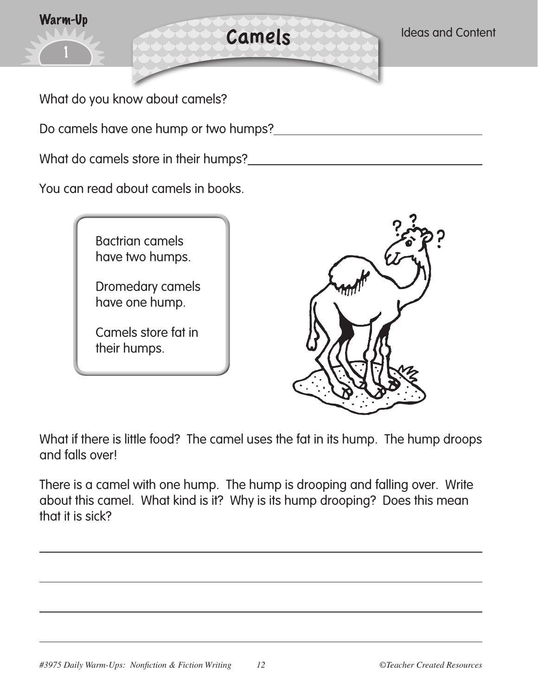

You can read about camels in books.



Dromedary camels have one hump.

Camels store fat in their humps.



What if there is little food? The camel uses the fat in its hump. The hump droops and falls over!

There is a camel with one hump. The hump is drooping and falling over. Write about this camel. What kind is it? Why is its hump drooping? Does this mean that it is sick?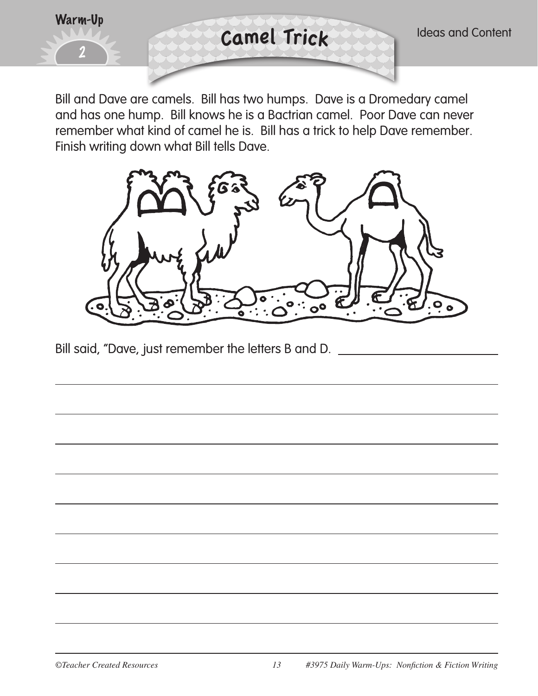

Bill and Dave are camels. Bill has two humps. Dave is a Dromedary camel and has one hump. Bill knows he is a Bactrian camel. Poor Dave can never remember what kind of camel he is. Bill has a trick to help Dave remember. Finish writing down what Bill tells Dave.



Bill said, "Dave, just remember the letters B and D.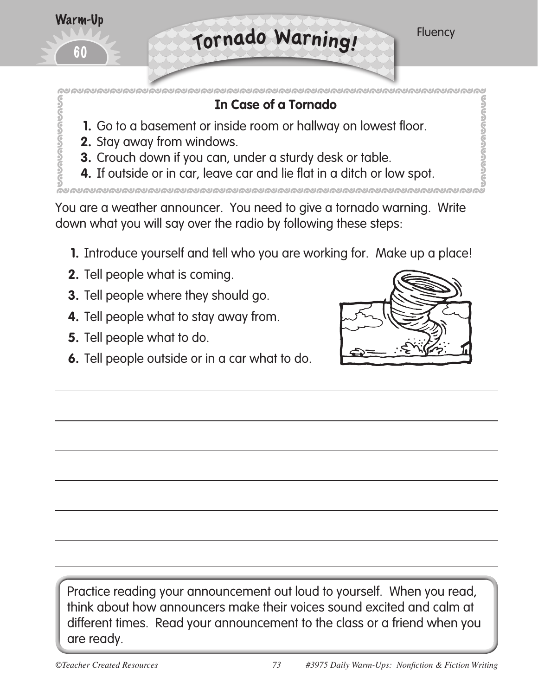

## **In Case of a Tornado**

- **1.** Go to a basement or inside room or hallway on lowest floor.
- **2.** Stay away from windows.
- **3.** Crouch down if you can, under a sturdy desk or table.
- **4.** If outside or in car, leave car and lie flat in a ditch or low spot.

You are a weather announcer. You need to give a tornado warning. Write down what you will say over the radio by following these steps:

- **1.** Introduce yourself and tell who you are working for. Make up a place!
- **2.** Tell people what is coming.
- **3.** Tell people where they should go.
- **4.** Tell people what to stay away from.
- **5.** Tell people what to do.
- **6.** Tell people outside or in a car what to do.



Practice reading your announcement out loud to yourself. When you read, think about how announcers make their voices sound excited and calm at different times. Read your announcement to the class or a friend when you are ready.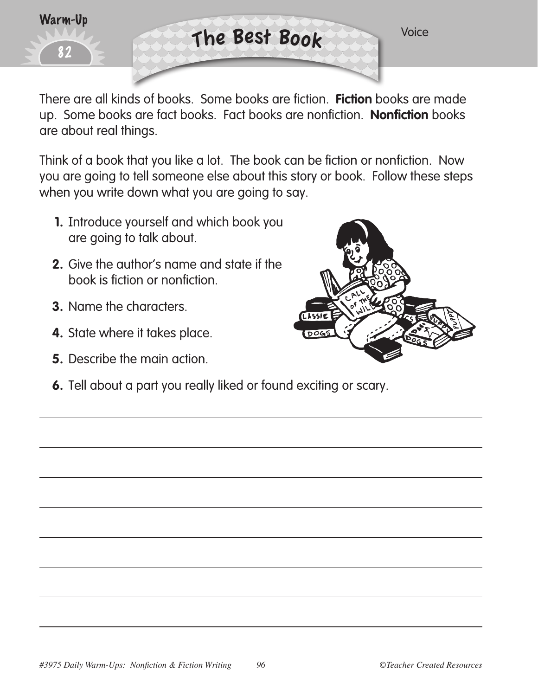

There are all kinds of books. Some books are fiction. **Fiction** books are made up. Some books are fact books. Fact books are nonfiction. **Nonfiction** books are about real things.

Think of a book that you like a lot. The book can be fiction or nonfiction. Now you are going to tell someone else about this story or book. Follow these steps when you write down what you are going to say.

- **1.** Introduce yourself and which book you are going to talk about.
- **2.** Give the author's name and state if the book is fiction or nonfiction.
- **3.** Name the characters.
- **4.** State where it takes place.
- **5.** Describe the main action.
- **6.** Tell about a part you really liked or found exciting or scary.